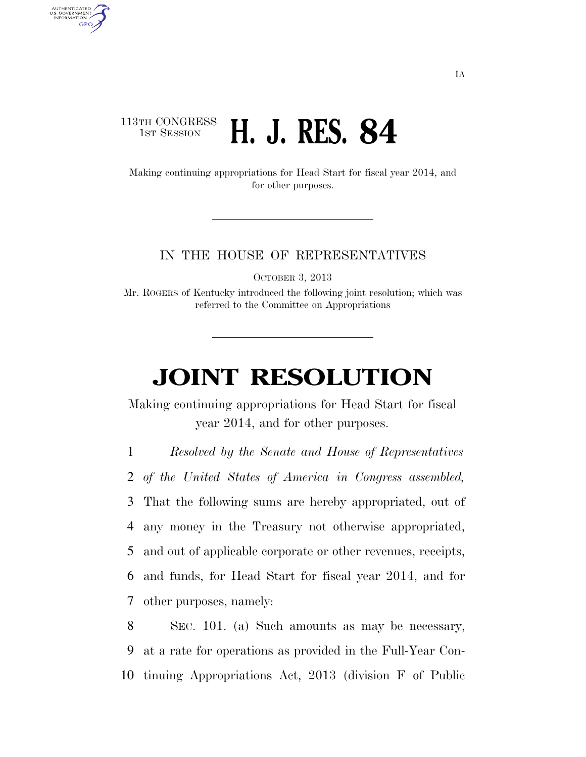## 113TH CONGRESS **1st Session H. J. RES. 84**

AUTHENTICATED<br>U.S. GOVERNMENT<br>INFORMATION

**GPO** 

Making continuing appropriations for Head Start for fiscal year 2014, and for other purposes.

## IN THE HOUSE OF REPRESENTATIVES

OCTOBER 3, 2013

Mr. ROGERS of Kentucky introduced the following joint resolution; which was referred to the Committee on Appropriations

## **JOINT RESOLUTION**

Making continuing appropriations for Head Start for fiscal year 2014, and for other purposes.

 *Resolved by the Senate and House of Representatives of the United States of America in Congress assembled,*  That the following sums are hereby appropriated, out of any money in the Treasury not otherwise appropriated, and out of applicable corporate or other revenues, receipts, and funds, for Head Start for fiscal year 2014, and for other purposes, namely:

8 SEC. 101. (a) Such amounts as may be necessary, 9 at a rate for operations as provided in the Full-Year Con-10 tinuing Appropriations Act, 2013 (division F of Public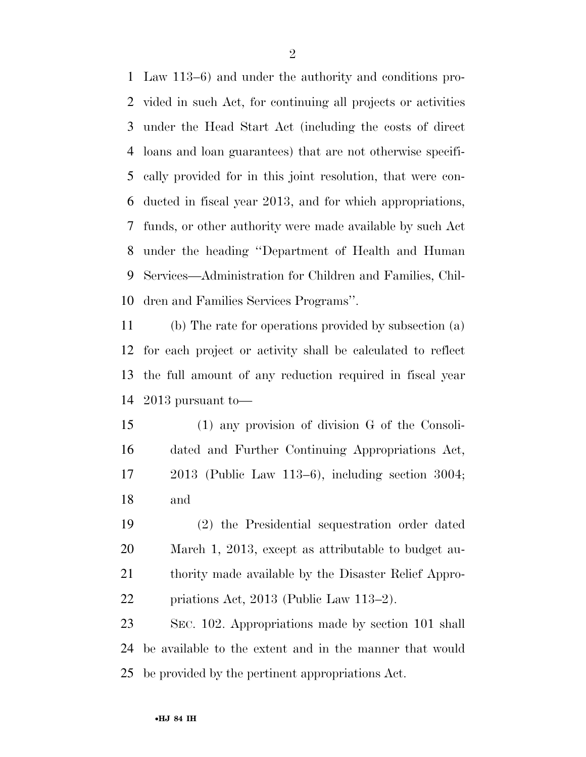Law 113–6) and under the authority and conditions pro- vided in such Act, for continuing all projects or activities under the Head Start Act (including the costs of direct loans and loan guarantees) that are not otherwise specifi- cally provided for in this joint resolution, that were con- ducted in fiscal year 2013, and for which appropriations, funds, or other authority were made available by such Act under the heading ''Department of Health and Human Services—Administration for Children and Families, Chil-dren and Families Services Programs''.

 (b) The rate for operations provided by subsection (a) for each project or activity shall be calculated to reflect the full amount of any reduction required in fiscal year 2013 pursuant to—

 (1) any provision of division G of the Consoli- dated and Further Continuing Appropriations Act, 2013 (Public Law 113–6), including section 3004; and

 (2) the Presidential sequestration order dated March 1, 2013, except as attributable to budget au-21 thority made available by the Disaster Relief Appro-priations Act, 2013 (Public Law 113–2).

 SEC. 102. Appropriations made by section 101 shall be available to the extent and in the manner that would be provided by the pertinent appropriations Act.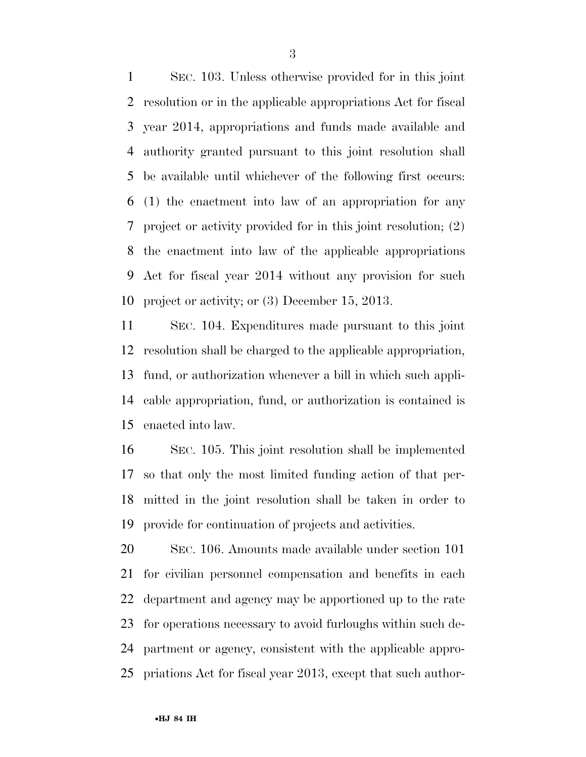SEC. 103. Unless otherwise provided for in this joint resolution or in the applicable appropriations Act for fiscal year 2014, appropriations and funds made available and authority granted pursuant to this joint resolution shall be available until whichever of the following first occurs: (1) the enactment into law of an appropriation for any project or activity provided for in this joint resolution; (2) the enactment into law of the applicable appropriations Act for fiscal year 2014 without any provision for such project or activity; or (3) December 15, 2013.

 SEC. 104. Expenditures made pursuant to this joint resolution shall be charged to the applicable appropriation, fund, or authorization whenever a bill in which such appli- cable appropriation, fund, or authorization is contained is enacted into law.

 SEC. 105. This joint resolution shall be implemented so that only the most limited funding action of that per- mitted in the joint resolution shall be taken in order to provide for continuation of projects and activities.

 SEC. 106. Amounts made available under section 101 for civilian personnel compensation and benefits in each department and agency may be apportioned up to the rate for operations necessary to avoid furloughs within such de- partment or agency, consistent with the applicable appro-priations Act for fiscal year 2013, except that such author